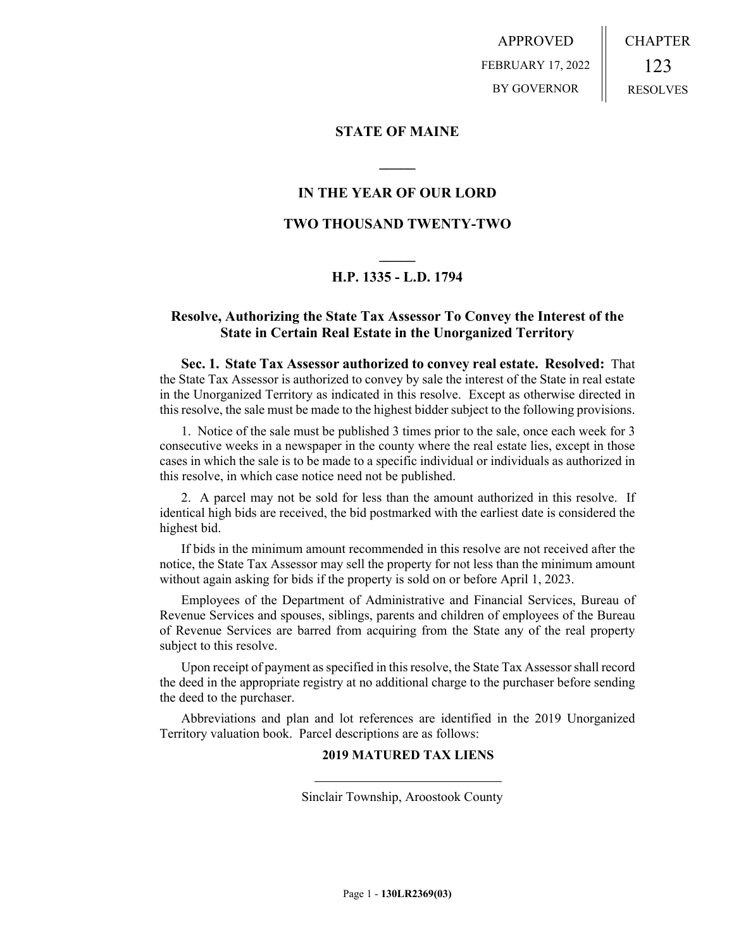APPROVED FEBRUARY 17, 2022 BY GOVERNOR

# **STATE OF MAINE**

# **IN THE YEAR OF OUR LORD**

**\_\_\_\_\_**

# **TWO THOUSAND TWENTY-TWO**

# **\_\_\_\_\_ H.P. 1335 - L.D. 1794**

# **Resolve, Authorizing the State Tax Assessor To Convey the Interest of the State in Certain Real Estate in the Unorganized Territory**

**Sec. 1. State Tax Assessor authorized to convey real estate. Resolved:** That the State Tax Assessor is authorized to convey by sale the interest of the State in real estate in the Unorganized Territory as indicated in this resolve. Except as otherwise directed in this resolve, the sale must be made to the highest bidder subject to the following provisions.

1. Notice of the sale must be published 3 times prior to the sale, once each week for 3 consecutive weeks in a newspaper in the county where the real estate lies, except in those cases in which the sale is to be made to a specific individual or individuals as authorized in this resolve, in which case notice need not be published.

2. A parcel may not be sold for less than the amount authorized in this resolve. If identical high bids are received, the bid postmarked with the earliest date is considered the highest bid.

If bids in the minimum amount recommended in this resolve are not received after the notice, the State Tax Assessor may sell the property for not less than the minimum amount without again asking for bids if the property is sold on or before April 1, 2023.

Employees of the Department of Administrative and Financial Services, Bureau of Revenue Services and spouses, siblings, parents and children of employees of the Bureau of Revenue Services are barred from acquiring from the State any of the real property subject to this resolve.

Upon receipt of payment as specified in this resolve, the State Tax Assessor shall record the deed in the appropriate registry at no additional charge to the purchaser before sending the deed to the purchaser.

Abbreviations and plan and lot references are identified in the 2019 Unorganized Territory valuation book. Parcel descriptions are as follows:

### **2019 MATURED TAX LIENS**

Sinclair Township, Aroostook County

 $\overline{a}$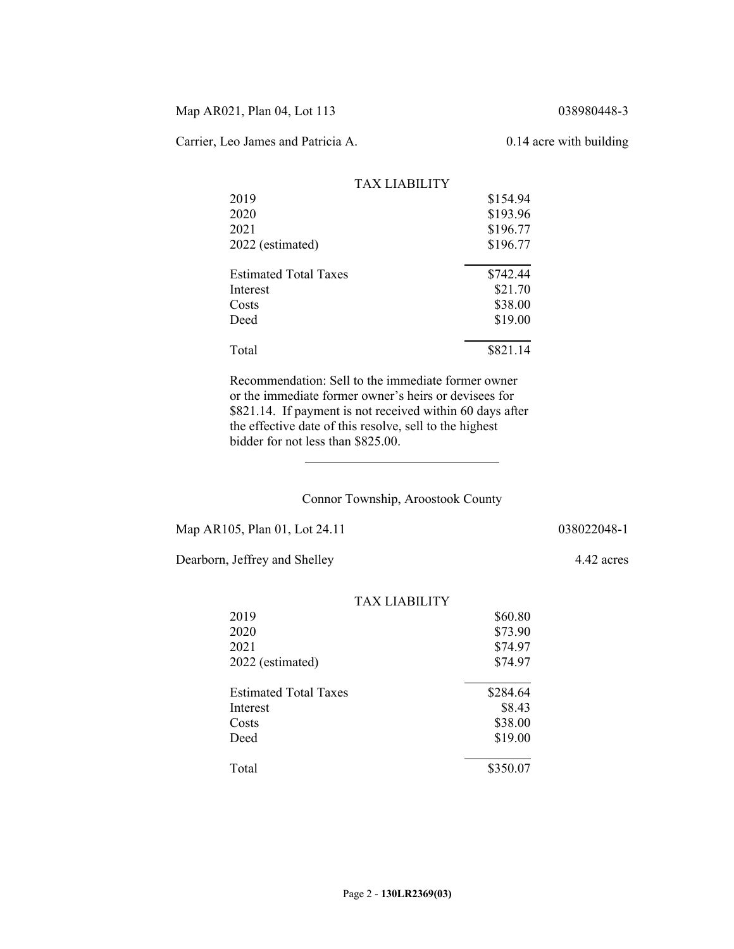Map AR021, Plan 04, Lot 113 038980448-3

Carrier, Leo James and Patricia A. 0.14 acre with building

|                              | <b>TAX LIABILITY</b> |          |
|------------------------------|----------------------|----------|
| 2019                         |                      | \$154.94 |
| 2020                         |                      | \$193.96 |
| 2021                         |                      | \$196.77 |
| 2022 (estimated)             |                      | \$196.77 |
| <b>Estimated Total Taxes</b> |                      | \$742.44 |
| Interest                     |                      | \$21.70  |
| Costs                        |                      | \$38.00  |
| Deed                         |                      | \$19.00  |
| Total                        |                      | \$821.14 |

Recommendation: Sell to the immediate former owner or the immediate former owner's heirs or devisees for \$821.14. If payment is not received within 60 days after the effective date of this resolve, sell to the highest bidder for not less than \$825.00.

#### Connor Township, Aroostook County

Map AR105, Plan 01, Lot 24.11 038022048-1

 $\overline{a}$ 

Dearborn, Jeffrey and Shelley 4.42 acres

TAX LIABILITY 2019 \$60.80 2020 \$73.90 2021 \$74.97 2022 (estimated) \$74.97  $\overline{a}$ Estimated Total Taxes \$284.64 Interest \$8.43 Costs \$38.00 Deed \$19.00  $\overline{a}$ Total \$350.07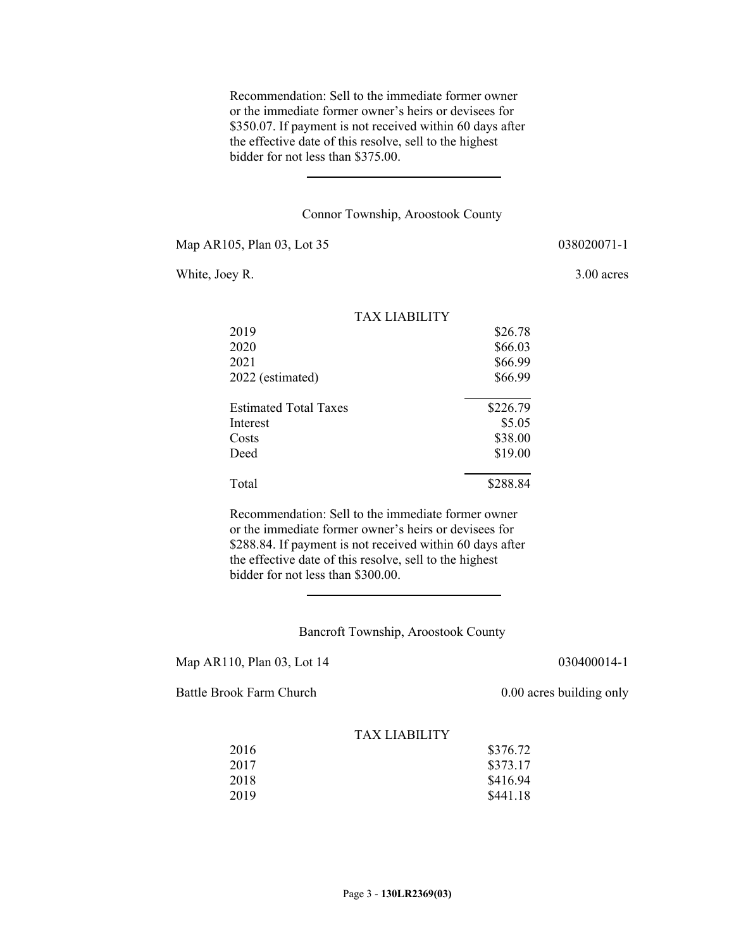Recommendation: Sell to the immediate former owner or the immediate former owner's heirs or devisees for \$350.07. If payment is not received within 60 days after the effective date of this resolve, sell to the highest bidder for not less than \$375.00.

### Connor Township, Aroostook County

Map AR105, Plan 03, Lot 35 038020071-1

White, Joey R. 3.00 acres

|                              | <b>TAX LIABILITY</b> |          |
|------------------------------|----------------------|----------|
| 2019                         |                      | \$26.78  |
| 2020                         |                      | \$66.03  |
| 2021                         |                      | \$66.99  |
| 2022 (estimated)             |                      | \$66.99  |
| <b>Estimated Total Taxes</b> |                      | \$226.79 |
| Interest                     |                      | \$5.05   |
| Costs                        |                      | \$38.00  |
| Deed                         |                      | \$19.00  |
| Total                        |                      | \$288.84 |

Recommendation: Sell to the immediate former owner or the immediate former owner's heirs or devisees for \$288.84. If payment is not received within 60 days after the effective date of this resolve, sell to the highest bidder for not less than \$300.00.

### Bancroft Township, Aroostook County

Map AR110, Plan 03, Lot 14 030400014-1

Battle Brook Farm Church 0.00 acres building only

| 2016 | \$376.72 |
|------|----------|
| 2017 | \$373.17 |
| 2018 | \$416.94 |
| 2019 | \$441.18 |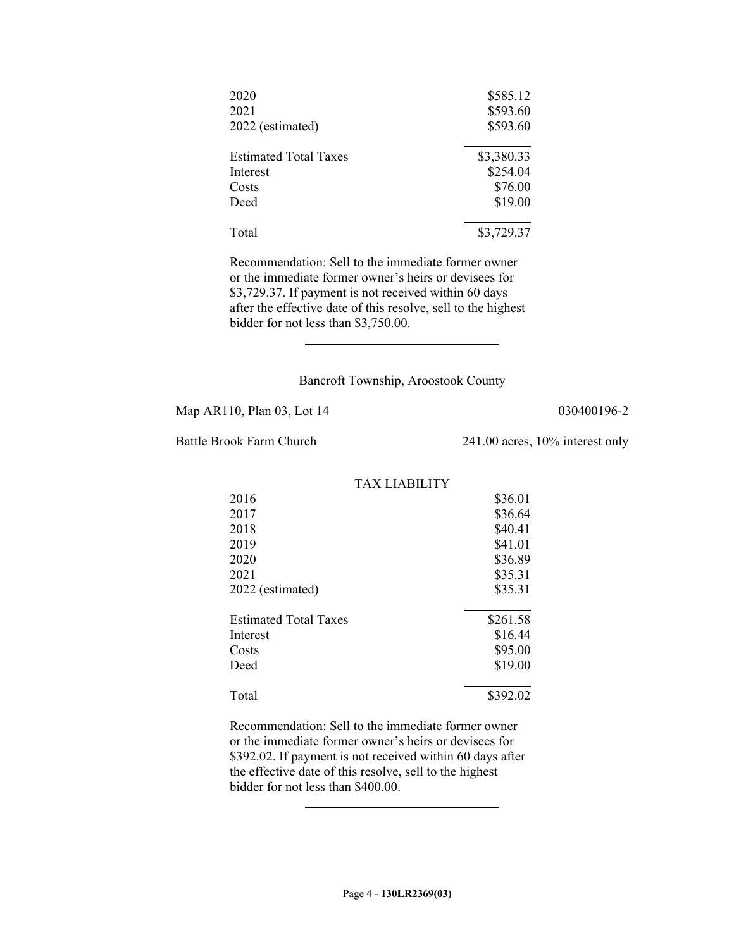| 2020<br>2021<br>2022 (estimated) | \$585.12<br>\$593.60<br>\$593.60 |
|----------------------------------|----------------------------------|
| <b>Estimated Total Taxes</b>     | \$3,380.33                       |
| Interest                         | \$254.04                         |
| Costs                            | \$76.00                          |
| Deed                             | \$19.00                          |
| Total                            | \$3,729.37                       |

Recommendation: Sell to the immediate former owner or the immediate former owner's heirs or devisees for \$3,729.37. If payment is not received within 60 days after the effective date of this resolve, sell to the highest bidder for not less than \$3,750.00.

### Bancroft Township, Aroostook County

Map AR110, Plan 03, Lot 14 030400196-2

 $\overline{a}$ 

Battle Brook Farm Church 241.00 acres, 10% interest only

|                              | <b>TAX LIABILITY</b> |          |
|------------------------------|----------------------|----------|
| 2016                         |                      | \$36.01  |
| 2017                         |                      | \$36.64  |
| 2018                         |                      | \$40.41  |
| 2019                         |                      | \$41.01  |
| 2020                         |                      | \$36.89  |
| 2021                         |                      | \$35.31  |
| 2022 (estimated)             |                      | \$35.31  |
| <b>Estimated Total Taxes</b> |                      | \$261.58 |
| Interest                     |                      | \$16.44  |
| Costs                        |                      | \$95.00  |
| Deed                         |                      | \$19.00  |
| Total                        |                      | \$392.02 |

Recommendation: Sell to the immediate former owner or the immediate former owner's heirs or devisees for \$392.02. If payment is not received within 60 days after the effective date of this resolve, sell to the highest bidder for not less than \$400.00.

 $\overline{\phantom{a}}$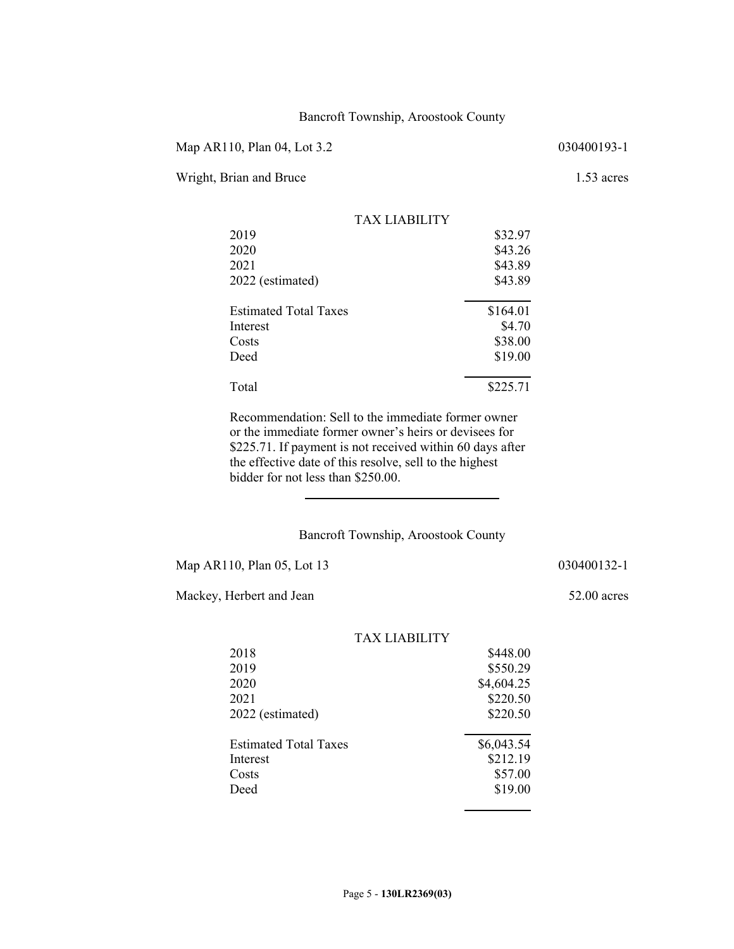### Bancroft Township, Aroostook County

Map AR110, Plan 04, Lot 3.2 030400193-1

Wright, Brian and Bruce 1.53 acres

| TAX LIARILITY                |          |
|------------------------------|----------|
| 2019                         | \$32.97  |
| 2020                         | \$43.26  |
| 2021                         | \$43.89  |
| 2022 (estimated)             | \$43.89  |
| <b>Estimated Total Taxes</b> | \$164.01 |
| Interest                     | \$4.70   |
| Costs                        | \$38.00  |
| Deed                         | \$19.00  |
| Total                        | \$225.71 |

Recommendation: Sell to the immediate former owner or the immediate former owner's heirs or devisees for \$225.71. If payment is not received within 60 days after the effective date of this resolve, sell to the highest bidder for not less than \$250.00.

# Bancroft Township, Aroostook County

Map AR110, Plan 05, Lot 13 030400132-1

 $\overline{a}$ 

Mackey, Herbert and Jean 52.00 acres

|                              | <b>TAX LIABILITY</b> |            |
|------------------------------|----------------------|------------|
| 2018                         |                      | \$448.00   |
| 2019                         |                      | \$550.29   |
| 2020                         |                      | \$4,604.25 |
| 2021                         |                      | \$220.50   |
| 2022 (estimated)             |                      | \$220.50   |
| <b>Estimated Total Taxes</b> |                      | \$6,043.54 |
| Interest                     |                      | \$212.19   |
| Costs                        |                      | \$57.00    |
| Deed                         |                      | \$19.00    |
|                              |                      |            |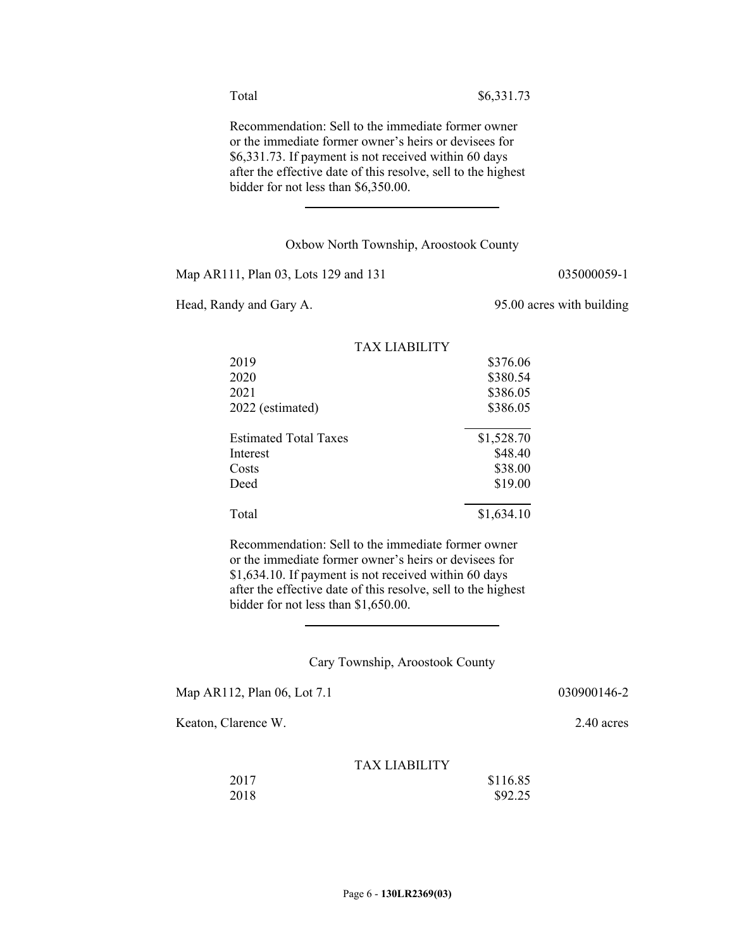Recommendation: Sell to the immediate former owner or the immediate former owner's heirs or devisees for \$6,331.73. If payment is not received within 60 days after the effective date of this resolve, sell to the highest bidder for not less than \$6,350.00.

#### Oxbow North Township, Aroostook County

Map AR111, Plan 03, Lots 129 and 131 035000059-1

 $\overline{\phantom{a}}$ 

Head, Randy and Gary A. 95.00 acres with building

|                              | TAX LIABILITY |            |
|------------------------------|---------------|------------|
| 2019                         |               | \$376.06   |
| 2020                         |               | \$380.54   |
| 2021                         |               | \$386.05   |
| 2022 (estimated)             |               | \$386.05   |
| <b>Estimated Total Taxes</b> |               | \$1,528.70 |
| Interest                     |               | \$48.40    |
| Costs                        |               | \$38.00    |
| Deed                         |               | \$19.00    |
| Total                        |               | \$1,634.10 |

Recommendation: Sell to the immediate former owner or the immediate former owner's heirs or devisees for \$1,634.10. If payment is not received within 60 days after the effective date of this resolve, sell to the highest bidder for not less than \$1,650.00.

Cary Township, Aroostook County

Map AR112, Plan 06, Lot 7.1 030900146-2

 $\overline{a}$ 

Keaton, Clarence W. 2.40 acres

| 2017 | \$116.85 |
|------|----------|
| 2018 | \$92.25  |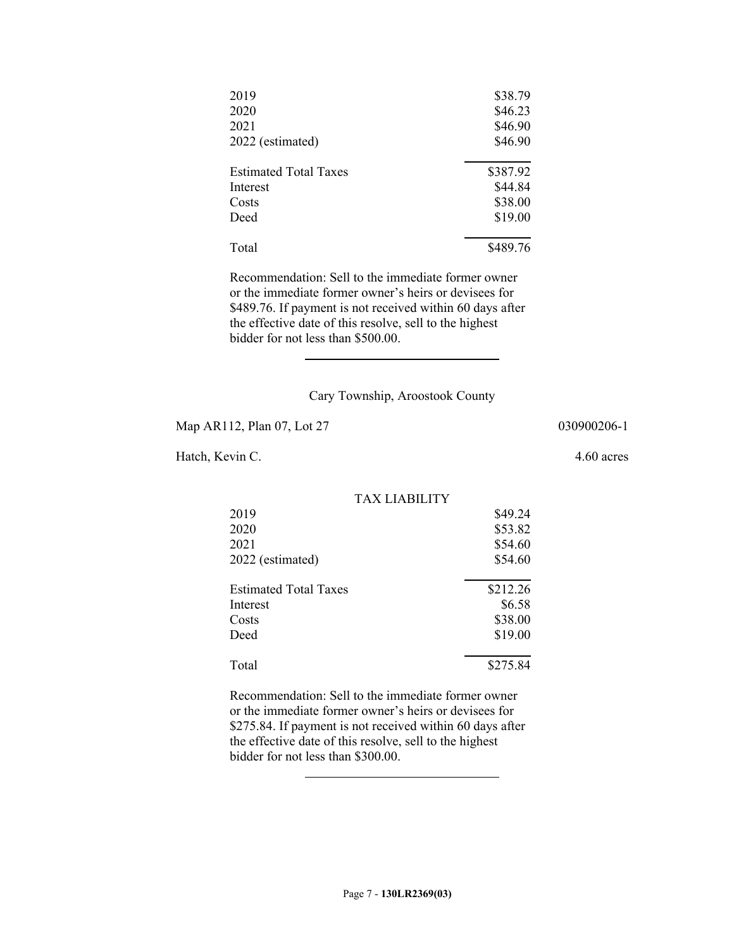| 2019                         | \$38.79  |
|------------------------------|----------|
| 2020                         | \$46.23  |
| 2021                         | \$46.90  |
| 2022 (estimated)             | \$46.90  |
| <b>Estimated Total Taxes</b> | \$387.92 |
| Interest                     | \$44.84  |
| Costs                        | \$38.00  |
| Deed                         | \$19.00  |
| Total                        | \$489.76 |

Recommendation: Sell to the immediate former owner or the immediate former owner's heirs or devisees for \$489.76. If payment is not received within 60 days after the effective date of this resolve, sell to the highest bidder for not less than \$500.00.

Cary Township, Aroostook County

Map AR112, Plan 07, Lot 27 030900206-1

 $\overline{a}$ 

Hatch, Kevin C. 4.60 acres

TAX LIABILITY 2019 \$49.24 2020 \$53.82 2021 \$54.60 2022 (estimated) \$54.60  $\overline{a}$ Estimated Total Taxes \$212.26 Interest \$6.58 Costs \$38.00 Deed \$19.00  $\overline{a}$ Total \$275.84

Recommendation: Sell to the immediate former owner or the immediate former owner's heirs or devisees for \$275.84. If payment is not received within 60 days after the effective date of this resolve, sell to the highest bidder for not less than \$300.00.  $\overline{a}$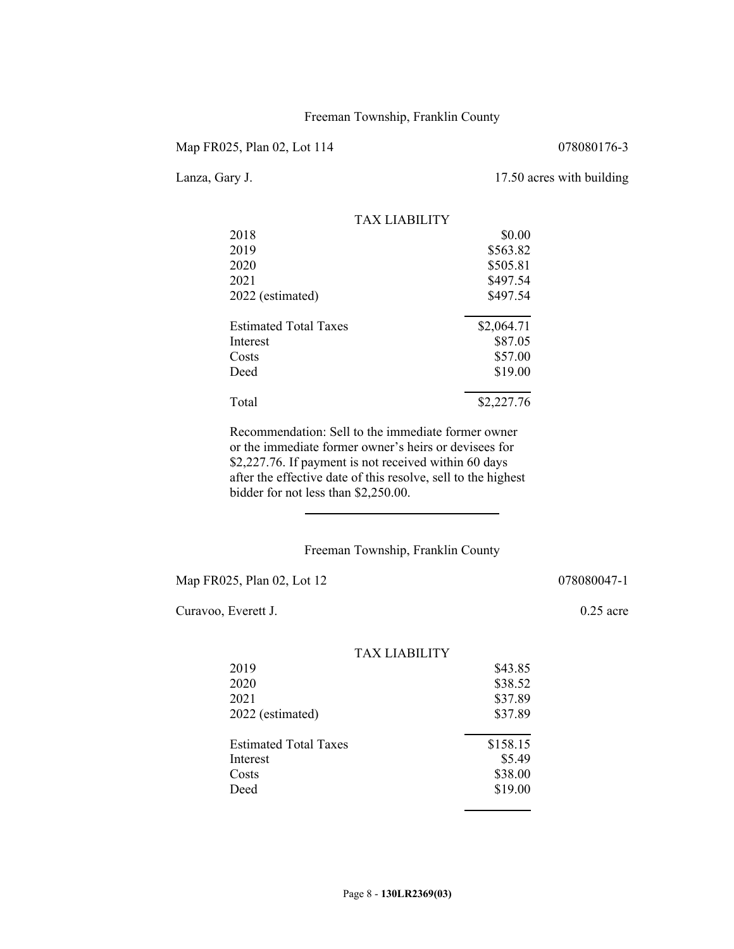### Freeman Township, Franklin County

Map FR025, Plan 02, Lot 114 078080176-3

Lanza, Gary J. 17.50 acres with building

|                              | TAX LIARILITY |
|------------------------------|---------------|
| 2018                         | \$0.00        |
| 2019                         | \$563.82      |
| 2020                         | \$505.81      |
| 2021                         | \$497.54      |
| 2022 (estimated)             | \$497.54      |
| <b>Estimated Total Taxes</b> | \$2,064.71    |
| Interest                     | \$87.05       |
| Costs                        | \$57.00       |
| Deed                         | \$19.00       |
| Total                        | \$2,227.76    |

Recommendation: Sell to the immediate former owner or the immediate former owner's heirs or devisees for \$2,227.76. If payment is not received within 60 days after the effective date of this resolve, sell to the highest bidder for not less than \$2,250.00.

# Freeman Township, Franklin County

Map FR025, Plan 02, Lot 12 078080047-1

 $\overline{a}$ 

Curavoo, Everett J. 0.25 acre

| 100000111 |  |  |  |
|-----------|--|--|--|
|           |  |  |  |
|           |  |  |  |

| TAX LIABILITY                |          |
|------------------------------|----------|
| 2019                         | \$43.85  |
| 2020                         | \$38.52  |
| 2021                         | \$37.89  |
| 2022 (estimated)             | \$37.89  |
| <b>Estimated Total Taxes</b> | \$158.15 |
| Interest                     | \$5.49   |
| Costs                        | \$38.00  |
| Deed                         | \$19.00  |
|                              |          |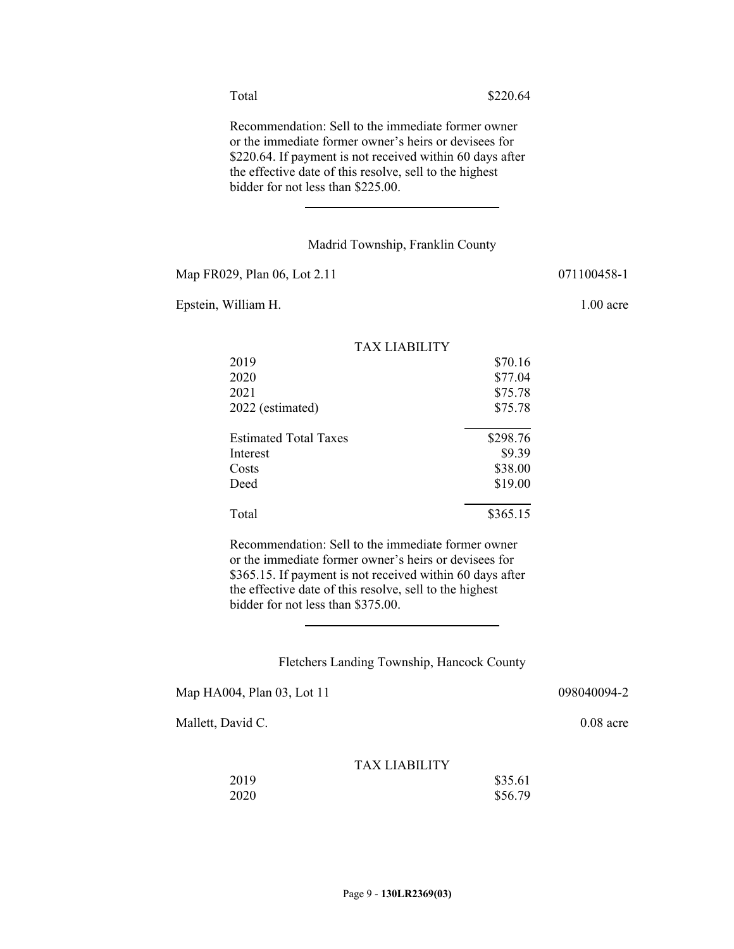Recommendation: Sell to the immediate former owner or the immediate former owner's heirs or devisees for \$220.64. If payment is not received within 60 days after the effective date of this resolve, sell to the highest bidder for not less than \$225.00.

### Madrid Township, Franklin County

Map FR029, Plan 06, Lot 2.11 071100458-1

 $\overline{\phantom{a}}$ 

Epstein, William H. 1.00 acre

|                              | <b>TAX LIABILITY</b> |          |
|------------------------------|----------------------|----------|
| 2019                         |                      | \$70.16  |
| 2020                         |                      | \$77.04  |
| 2021                         |                      | \$75.78  |
| 2022 (estimated)             |                      | \$75.78  |
| <b>Estimated Total Taxes</b> |                      | \$298.76 |
| Interest                     |                      | \$9.39   |
| Costs                        |                      | \$38.00  |
| Deed                         |                      | \$19.00  |
| Total                        |                      | \$365.15 |
|                              |                      |          |

Recommendation: Sell to the immediate former owner or the immediate former owner's heirs or devisees for \$365.15. If payment is not received within 60 days after the effective date of this resolve, sell to the highest bidder for not less than \$375.00.

#### Fletchers Landing Township, Hancock County

Map HA004, Plan 03, Lot 11 098040094-2

 $\overline{a}$ 

Mallett, David C. 0.08 acre

| 2019 | \$35.61 |
|------|---------|
| 2020 | \$56.79 |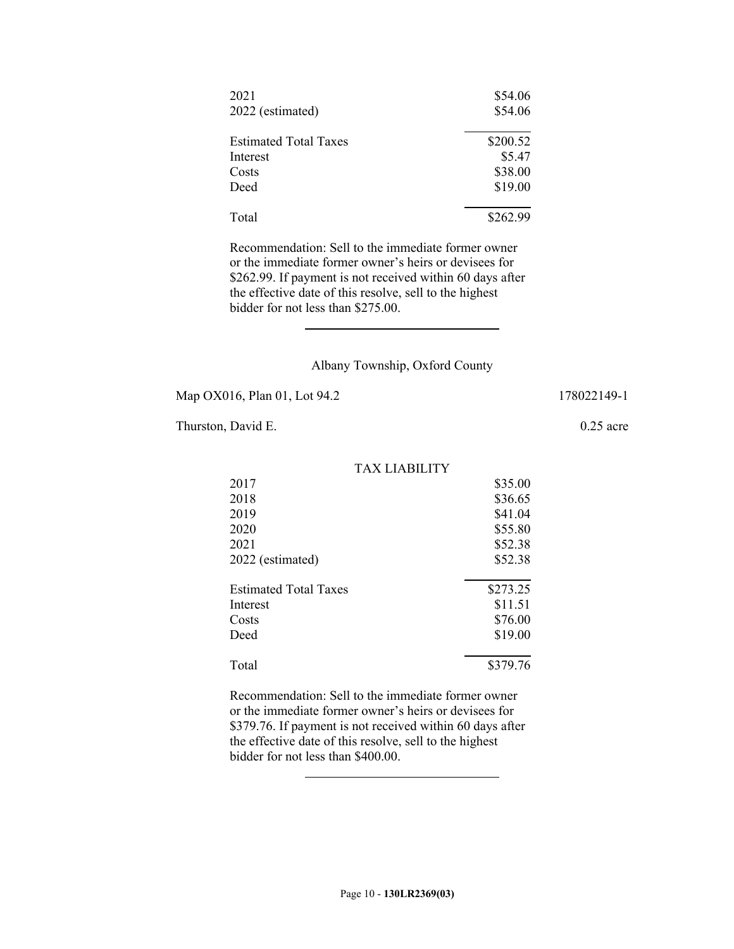| 2021                         | \$54.06  |
|------------------------------|----------|
| 2022 (estimated)             | \$54.06  |
| <b>Estimated Total Taxes</b> | \$200.52 |
| Interest                     | \$5.47   |
| Costs                        | \$38.00  |
| Deed                         | \$19.00  |
| Total                        | \$262.99 |

Recommendation: Sell to the immediate former owner or the immediate former owner's heirs or devisees for \$262.99. If payment is not received within 60 days after the effective date of this resolve, sell to the highest bidder for not less than \$275.00.

#### Albany Township, Oxford County

Map OX016, Plan 01, Lot 94.2 178022149-1

 $\overline{a}$ 

Thurston, David E. 0.25 acre

|                              | TAX LIABILITY |
|------------------------------|---------------|
| 2017                         | \$35.00       |
| 2018                         | \$36.65       |
| 2019                         | \$41.04       |
| 2020                         | \$55.80       |
| 2021                         | \$52.38       |
| 2022 (estimated)             | \$52.38       |
| <b>Estimated Total Taxes</b> | \$273.25      |
| Interest                     | \$11.51       |
| Costs                        | \$76.00       |
| Deed                         | \$19.00       |
| Total                        | \$379.76      |

Recommendation: Sell to the immediate former owner or the immediate former owner's heirs or devisees for \$379.76. If payment is not received within 60 days after the effective date of this resolve, sell to the highest bidder for not less than \$400.00.

 $\overline{a}$ 

TAV I JADILITY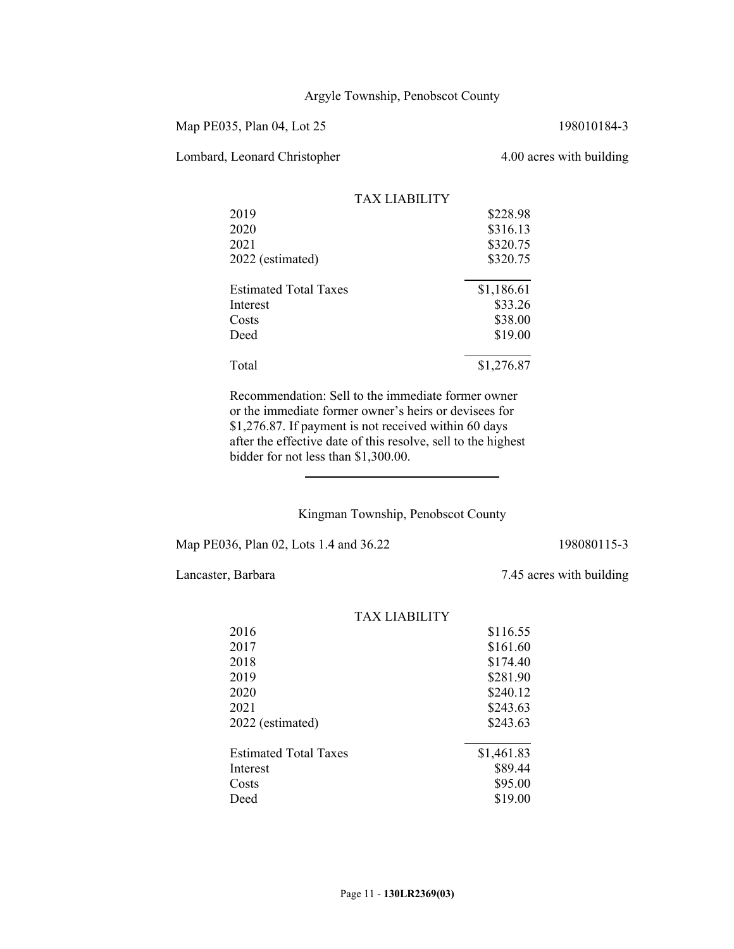# Argyle Township, Penobscot County

Map PE035, Plan 04, Lot 25 198010184-3

Lombard, Leonard Christopher 4.00 acres with building

|                              | TAX LIARILITY |            |
|------------------------------|---------------|------------|
| 2019                         |               | \$228.98   |
| 2020                         |               | \$316.13   |
| 2021                         |               | \$320.75   |
| 2022 (estimated)             |               | \$320.75   |
| <b>Estimated Total Taxes</b> |               | \$1,186.61 |
| Interest                     |               | \$33.26    |
| Costs                        |               | \$38.00    |
| Deed                         |               | \$19.00    |
| Total                        |               | \$1,276.87 |

Recommendation: Sell to the immediate former owner or the immediate former owner's heirs or devisees for \$1,276.87. If payment is not received within 60 days after the effective date of this resolve, sell to the highest bidder for not less than \$1,300.00.

Kingman Township, Penobscot County

Map PE036, Plan 02, Lots 1.4 and 36.22 198080115-3

 $\overline{a}$ 

Lancaster, Barbara 7.45 acres with building

| 17323 17173117111 1          |            |
|------------------------------|------------|
| 2016                         | \$116.55   |
| 2017                         | \$161.60   |
| 2018                         | \$174.40   |
| 2019                         | \$281.90   |
| 2020                         | \$240.12   |
| 2021                         | \$243.63   |
| 2022 (estimated)             | \$243.63   |
| <b>Estimated Total Taxes</b> | \$1,461.83 |
| Interest                     | \$89.44    |
| Costs                        | \$95.00    |
| Deed                         | \$19.00    |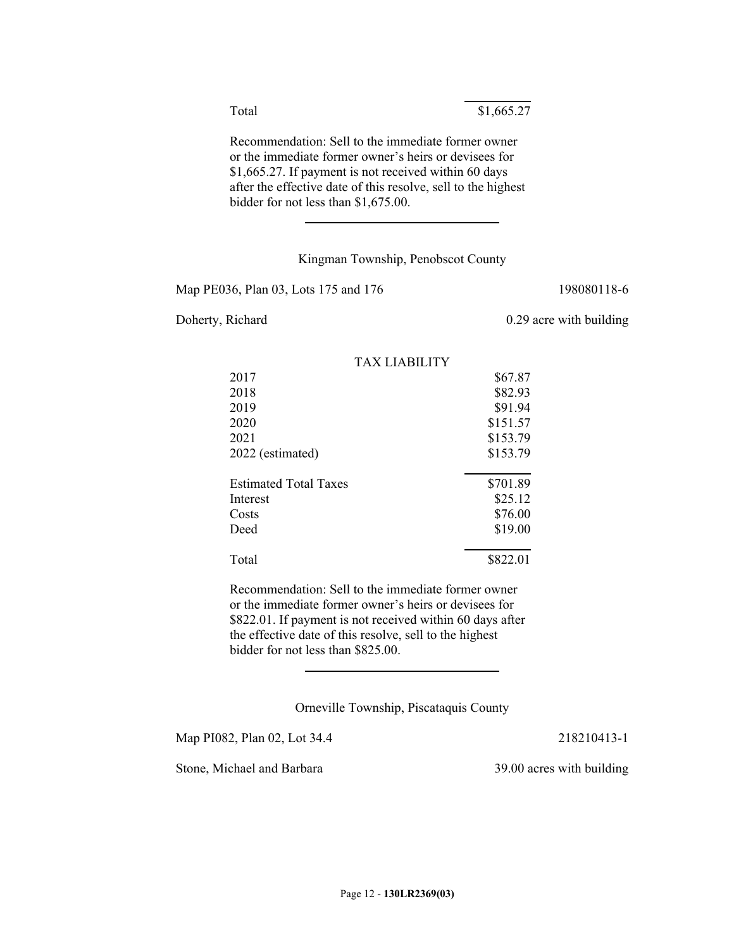Total \$1,665.27

Recommendation: Sell to the immediate former owner or the immediate former owner's heirs or devisees for \$1,665.27. If payment is not received within 60 days after the effective date of this resolve, sell to the highest bidder for not less than \$1,675.00.  $\overline{a}$ 

# Kingman Township, Penobscot County

 $\overline{a}$ 

Map PE036, Plan 03, Lots 175 and 176 198080118-6

Doherty, Richard 0.29 acre with building

|                              | TAX LIABILITY |          |
|------------------------------|---------------|----------|
| 2017                         |               | \$67.87  |
| 2018                         |               | \$82.93  |
| 2019                         |               | \$91.94  |
| 2020                         |               | \$151.57 |
| 2021                         |               | \$153.79 |
| 2022 (estimated)             |               | \$153.79 |
| <b>Estimated Total Taxes</b> |               | \$701.89 |
| Interest                     |               | \$25.12  |
| Costs                        |               | \$76.00  |
| Deed                         |               | \$19.00  |
| Total                        |               | \$822.01 |
|                              |               |          |

Recommendation: Sell to the immediate former owner or the immediate former owner's heirs or devisees for \$822.01. If payment is not received within 60 days after the effective date of this resolve, sell to the highest bidder for not less than \$825.00.

Orneville Township, Piscataquis County

Map PI082, Plan 02, Lot 34.4 218210413-1

 $\overline{a}$ 

Stone, Michael and Barbara 39.00 acres with building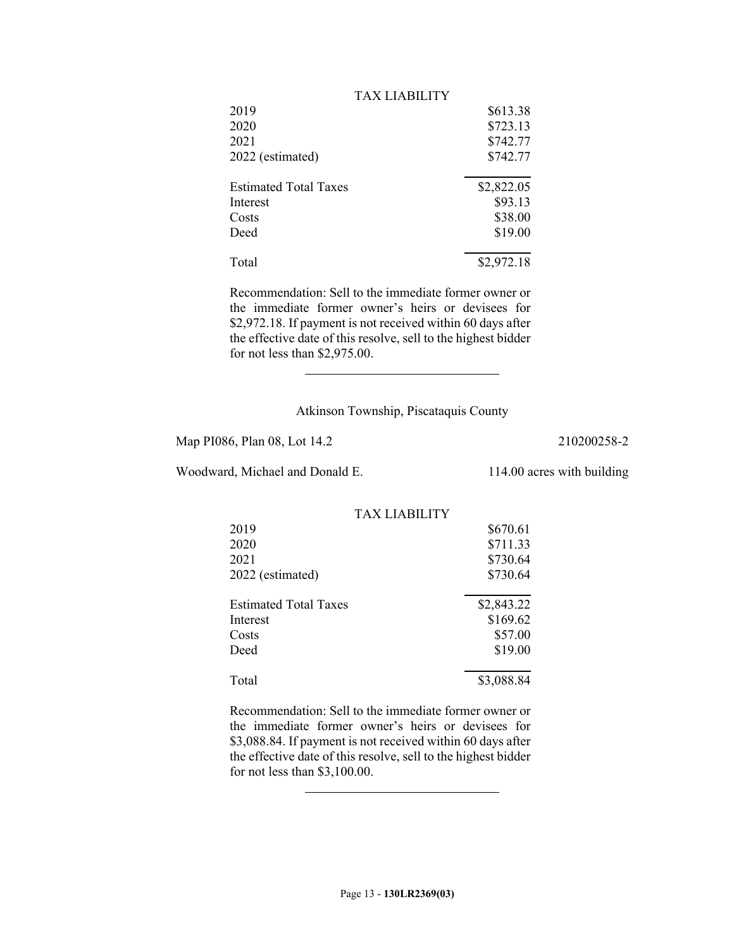| TAX LIABILITY                |            |
|------------------------------|------------|
|                              | \$613.38   |
|                              | \$723.13   |
|                              | \$742.77   |
|                              | \$742.77   |
| <b>Estimated Total Taxes</b> | \$2,822.05 |
|                              | \$93.13    |
|                              | \$38.00    |
|                              | \$19.00    |
|                              | \$2,972.18 |
|                              |            |

Recommendation: Sell to the immediate former owner or the immediate former owner's heirs or devisees for \$2,972.18. If payment is not received within 60 days after the effective date of this resolve, sell to the highest bidder for not less than \$2,975.00.

### Atkinson Township, Piscataquis County

Map PI086, Plan 08, Lot 14.2 210200258-2

Woodward, Michael and Donald E. 114.00 acres with building

 $\overline{\phantom{a}}$ 

 $\overline{a}$ 

|                              | TAX LIABILITY |            |
|------------------------------|---------------|------------|
| 2019                         |               | \$670.61   |
| 2020                         |               | \$711.33   |
| 2021                         |               | \$730.64   |
| 2022 (estimated)             |               | \$730.64   |
| <b>Estimated Total Taxes</b> |               | \$2,843.22 |
| Interest                     |               | \$169.62   |
| Costs                        |               | \$57.00    |
| Deed                         |               | \$19.00    |
| Total                        |               | \$3,088.84 |

Recommendation: Sell to the immediate former owner or the immediate former owner's heirs or devisees for \$3,088.84. If payment is not received within 60 days after the effective date of this resolve, sell to the highest bidder for not less than \$3,100.00.

Page 13 - **130LR2369(03)**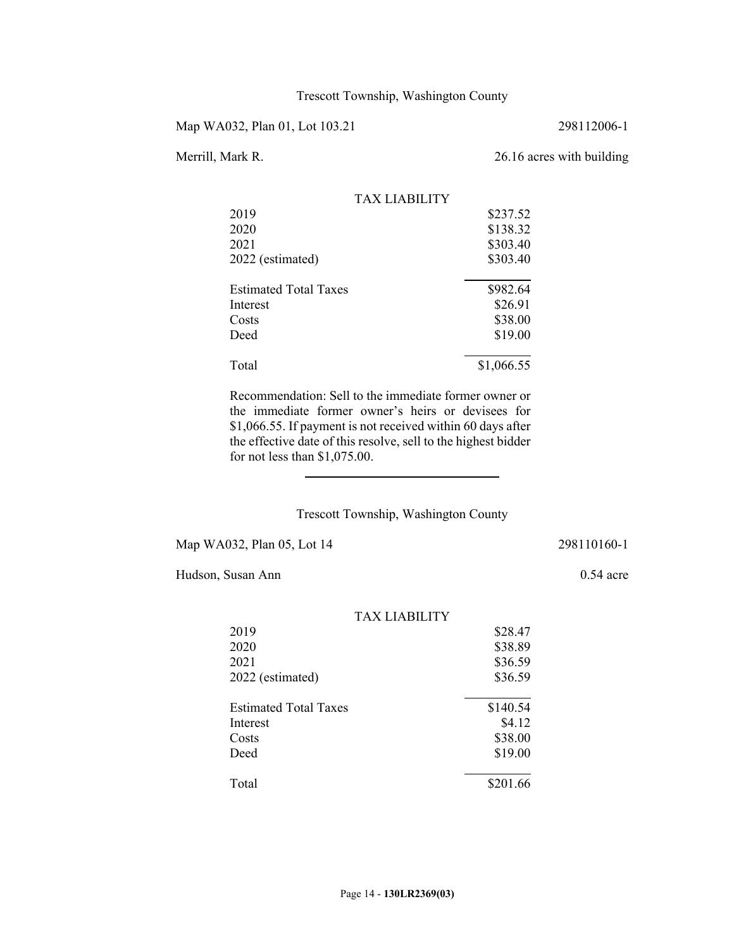Map WA032, Plan 01, Lot 103.21 298112006-1

# Merrill, Mark R. 26.16 acres with building

|                              | TAX LIABILITY |            |
|------------------------------|---------------|------------|
| 2019                         |               | \$237.52   |
| 2020                         |               | \$138.32   |
| 2021                         |               | \$303.40   |
| 2022 (estimated)             |               | \$303.40   |
| <b>Estimated Total Taxes</b> |               | \$982.64   |
| Interest                     |               | \$26.91    |
| Costs                        |               | \$38.00    |
| Deed                         |               | \$19.00    |
| Total                        |               | \$1,066.55 |

Recommendation: Sell to the immediate former owner or the immediate former owner's heirs or devisees for \$1,066.55. If payment is not received within 60 days after the effective date of this resolve, sell to the highest bidder for not less than \$1,075.00.

# Trescott Township, Washington County

Map WA032, Plan 05, Lot 14 298110160-1

 $\overline{a}$ 

Hudson, Susan Ann 0.54 acre

|                              | TAX LIARILITY |          |
|------------------------------|---------------|----------|
| 2019                         |               | \$28.47  |
| 2020                         |               | \$38.89  |
| 2021                         |               | \$36.59  |
| 2022 (estimated)             |               | \$36.59  |
| <b>Estimated Total Taxes</b> |               | \$140.54 |
| Interest                     |               | \$4.12   |
| Costs                        |               | \$38.00  |
| Deed                         |               | \$19.00  |
| Total                        |               | \$201.66 |